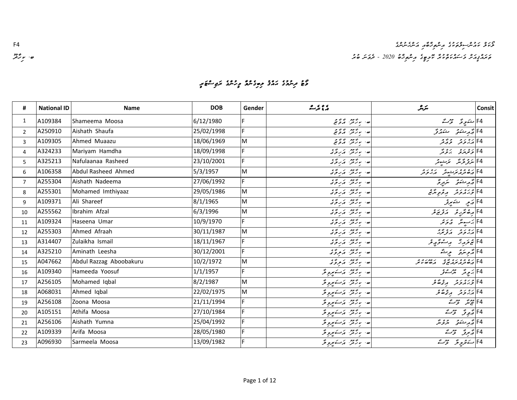| #              | <b>National ID</b> | <b>Name</b>             | <b>DOB</b> | Gender | پروپرے                                                                                                | سرير                                                                                                 | Consit |
|----------------|--------------------|-------------------------|------------|--------|-------------------------------------------------------------------------------------------------------|------------------------------------------------------------------------------------------------------|--------|
| 1              | A109384            | Shameema Moosa          | 6/12/1980  |        | ه ، پر بر و.<br>اه ، پر بر اروم                                                                       | F4 ڪَ <i>وِوگر و</i> ُٽُ                                                                             |        |
| $\overline{2}$ | A250910            | Aishath Shaufa          | 25/02/1998 | F      |                                                                                                       | F4   إِيَّ مِرْ حَسَنَةٍ مِنْ رَحْمَةٍ مِنْ أَمْرَ مِنْ رَحْمَةٍ مِنْ أَمْرَ مِنْ رَحْمَةٍ مِنْ رَحْ |        |
| 3              | A109305            | Ahmed Muaazu            | 18/06/1969 | M      | $750 - 359$<br>$-759 - 6$                                                                             | F4  <i>ג'. دُوَتر وَ بُرْ</i> تر                                                                     |        |
| 4              | A324233            | Mariyam Hamdha          | 18/09/1998 | F      |                                                                                                       | F4 كۆمەر ئەرگە                                                                                       |        |
| 5              | A325213            | Nafulaanaa Rasheed      | 23/10/2001 | F      | $\frac{1}{2}$                                                                                         | F4   سَرَمْرِ حَرَّسَ = سَرْحِيْ مِرْ                                                                |        |
| 6              | A106358            | Abdul Rasheed Ahmed     | 5/3/1957   | M      | ه . بار دو . بار و ،                                                                                  | F4   رَھْ تَر <i>مُر تَر حَسِيْرِ مَنْ تَرَ وَ</i> تَرَ                                              |        |
| $\overline{7}$ | A255304            | Aishath Nadeema         | 27/06/1992 | F      | $\frac{1}{2}\frac{1}{2}\frac{1}{2}\frac{1}{2}\frac{1}{2}\frac{1}{2}\frac{1}{2}\frac{1}{2}\frac{1}{2}$ | F4   بَرُ مِ شَمَتْمَ = سَرَ مِرْحَ                                                                  |        |
| 8              | A255301            | Mohamed Imthiyaaz       | 29/05/1986 | M      | $\frac{1}{2}$                                                                                         | F4 <i>وبرە رو برۇم</i> گرىمى                                                                         |        |
| 9              | A109371            | Ali Shareef             | 8/1/1965   | M      | $\frac{1}{2}$                                                                                         | F4   پَرِ مِن مَسَرِ عَنْ رَبَّحَتَ                                                                  |        |
| 10             | A255562            | Ibrahim Afzal           | 6/3/1996   | M      | ھ ، پارچو ، رکھی                                                                                      | F4   مِرْھُ مَّرْرِ حُرِ مَعْ مَحْرِ مَحْرَ مِحْرِ                                                   |        |
| 11             | A109324            | Haseena Umar            | 10/9/1970  | F      | ھ ، پارچو ، رگرون                                                                                     | F4 برَبِ مِبْرٌ پُروَتْر                                                                             |        |
| 12             | A255303            | Ahmed Afraah            | 30/11/1987 | M      | ھ سرگر پر گردار دی۔<br>مسلم سرگر کرکر کرک                                                             | F4   يَ <i>رُو يُوتَرُّ بِهِ يُوتَرُّبُ</i>                                                          |        |
| 13             | A314407            | Zulaikha Ismail         | 18/11/1967 | F.     | ه ۱ بارود کرده و                                                                                      | F4 يح يَحرَرِ بِنَ مِنْ يَحْرِرُ بِحْرِ بِحْرِ                                                       |        |
| 14             | A325210            | Aminath Leesha          | 30/12/2001 | F      | ھ بار دو.<br>ھ بار در ار مرکزی                                                                        | F4 أَرَّمِ سَرَمَّ مِنْ حِيْثَة                                                                      |        |
| 15             | A047662            | Abdul Razzag Aboobakuru | 10/2/1972  | M      | ھ ، پارچو ، مرمر وی                                                                                   | F4   ره وه ره در و در رودرو و<br>F4   پره مربر مربر مخ                                               |        |
| 16             | A109340            | Hameeda Yoosuf          | 1/1/1957   |        | ھ بار دو. مُرڪبو وگ                                                                                   | F4 برَمِرِ مَرَّ مَرْسَمْ مِ                                                                         |        |
| 17             | A256105            | Mohamed Iqbal           | 8/2/1987   | M      | ھ <sub>ُ</sub> سِرِ سِرَ مَرْ سَمَبِروِ مُرَ                                                          | F4 <i>وَبَرْدُوَنَّرَ بِرِنْ</i> حَةَ لَوْ                                                           |        |
| 18             | A068031            | Ahmed Iqbal             | 22/02/1975 | M      | ھ بار ديھ مار ڪي پروگر                                                                                | F4 رژ <sub>تر</sub> یخ محرکاتی تحریحات                                                               |        |
| 19             | A256108            | Zoona Moosa             | 21/11/1994 | F.     | ھ <sub>اس</sub> مرکب مرکب مرکب کر دیگر ا                                                              | F4   نیم شرح مح <sup>م</sup> ث م                                                                     |        |
| 20             | A105151            | Athifa Moosa            | 27/10/1984 | F      | ھ پيدا دو.<br>مسيد تر تر مسکورو تر                                                                    | F4 ۾َ پِر گُرُ جُمْتُ                                                                                |        |
| 21             | A256106            | Aishath Yumna           | 25/04/1992 | F      | ھ ، بار دين مرڪبوبو تر                                                                                | F4 ۾ً مِرڪو حرو مگر                                                                                  |        |
| 22             | A109339            | Arifa Moosa             | 28/05/1980 | F      | ھ بار ديڪھ ماڻھ ڪيو وگ                                                                                | F4 ۾َ بِرِبَرُ هُمَ سُ                                                                               |        |
| 23             | A096930            | Sarmeela Moosa          | 13/09/1982 | F      | ھ پر پر قرار کرے پرہ بڑ                                                                               | F4 سەتر <sub>ى</sub> رىگر تۇسگە                                                                      |        |

*IrwTcsijwr egcnuhIm Wvcnegibil uqcawH egumunid uTOv*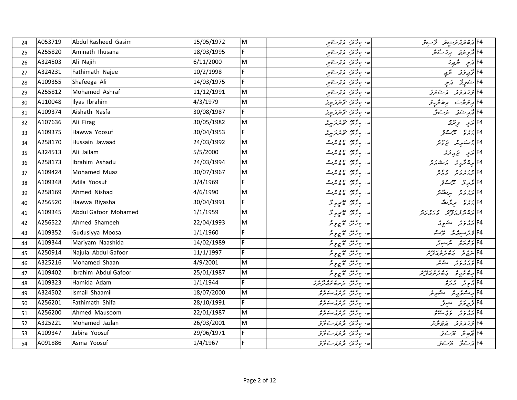| 24 | A053719 | Abdul Rasheed Gasim  | 15/05/1972 | M           | ھ پر پر دوستانس میں<br>مسلمانوں ارار مسلمبر                                                                                                                                                                                      | F4   رَھُ تَرَرُ تَرَسُوتَر = تَرَّ سِوتَر            |
|----|---------|----------------------|------------|-------------|----------------------------------------------------------------------------------------------------------------------------------------------------------------------------------------------------------------------------------|-------------------------------------------------------|
| 25 | A255820 | Aminath Ihusana      | 18/03/1995 | $\mathsf F$ | ھ ، پارٹور <b>پرکار سے</b> پر                                                                                                                                                                                                    | F4 أ <i>مَّ جِسَعَة بِهِ بِ</i> مُسَّمَّتَهُ          |
| 26 | A324503 | Ali Najih            | 6/11/2000  | M           | ه بارود ده به                                                                                                                                                                                                                    | F4   پَرِ مِه سَرَىي بَرَ                             |
| 27 | A324231 | Fathimath Najee      | 10/2/1998  | $\mathsf F$ | ھ بار پر دور در دي گھيل<br>ھ بار کر در مرکز ڪوسر                                                                                                                                                                                 | F4   تَرْجِ وَتَمَرَّ     سَرْيٍ                      |
| 28 | A109355 | Shafeega Ali         | 14/03/1975 | $\mathsf F$ | ھ بار پرور دورے<br>ھ بار فر                                                                                                                                                                                                      | F4 ڪَوِرِتَرُ <i>۾َجِ</i>                             |
| 29 | A255812 | Mohamed Ashraf       | 11/12/1991 | M           | ھ بور پر مرور دی<br>مسلم بور مرور مشتر                                                                                                                                                                                           | F4 <i>وبروروس م</i> َ حَسْمَعُ                        |
| 30 | A110048 | Ilyas Ibrahim        | 4/3/1979   | M           | ه ۱۰ مرد و در در در دارد.<br>۱۳۰۷ میر تر در میگیردگر میرانی                                                                                                                                                                      | F4 مِرْحَمَّرْتْ مِنْ مَّرْرِ وُ                      |
| 31 | A109374 | Aishath Nasfa        | 30/08/1987 | F           | ھ سرگر دی گھر دیں گے<br>جاس کر دی گھر دیکھ                                                                                                                                                                                       | F4   پَرُ مِرْ حَسَمَى = سَرَ حَسَنَى                 |
| 32 | A107636 | Ali Firag            | 30/05/1982 | M           | ھ سرگر دی گھر تر ہو گیا<br>جاس رکھن گھر تھر تر ہو گھ                                                                                                                                                                             | F4   پَرِمِ مِ مِرْتَمَةٌ                             |
| 33 | A109375 | Hawwa Yoosuf         | 30/04/1953 | $\mathsf F$ | ه ۱۰ مرکز می شرکتر میلی به این میتوانید به این میتوانید به این میتوانید به این میتوانید به این میتوانید به این<br>میتوانید به این میتوانید به این میتوانید به این میتوانید به این میتوانید به این میتوانید به این میتوانید به ای | F4   بروگر مرحت تحر                                   |
| 34 | A258170 | Hussain Jawaad       | 24/03/1992 | M           | ھ برتر پی شرت                                                                                                                                                                                                                    | F4  ترسَمبرِ شرِ صَرَّحَر                             |
| 35 | A324513 | Ali Jailam           | 5/5/2000   | M           | ھ برگرد گھرگ<br>ھ برگر گھرنگ                                                                                                                                                                                                     | F4  بَرْمٍ مَحَصَرِ تَرَوُّرُ                         |
| 36 | A258173 | Ibrahim Ashadu       | 24/03/1994 | M           | ه پرس دو په شما                                                                                                                                                                                                                  | F4 مِرْحَمَّرِ وَ سَرَحْمَدَ قَر                      |
| 37 | A109424 | Mohamed Muaz         | 30/07/1967 | M           | ھ پر پر دو گانا ور گ                                                                                                                                                                                                             | F4   وبرەر دوم و دۇمۇ                                 |
| 38 | A109348 | Adila Yoosuf         | 3/4/1969   | F           | ھ برگود پر مارے<br>مسلمان فی عامرے                                                                                                                                                                                               | F4   پر <sub>مرکز</sub> تر مرکز کو                    |
| 39 | A258169 | Ahmed Nishad         | 4/6/1990   | M           | ھ بار پر دی گھرے                                                                                                                                                                                                                 | F4   رَبْر وَ قر _ سِرِتْ قر                          |
| 40 | A256520 | Hawwa Riyasha        | 30/04/1991 | $\mathsf F$ | ھ پر بر دي ۽ سي ويڪر                                                                                                                                                                                                             | F4 بزثری مرتزمندَّ                                    |
| 41 | A109345 | Abdul Gafoor Mohamed | 1/1/1959   | M           | ه . پر ژو به پیم <i>و م</i> ُ                                                                                                                                                                                                    | F4 ره وه رووو به وره رو<br>F4 اړه مرمرنومو بر بربرومر |
| 42 | A256522 | Ahmed Shameeh        | 22/04/1993 | M           | ه برگ <sup>ود</sup> لایمورگر                                                                                                                                                                                                     | F4 رَرْدَوَرْ   تَنَوِرْ                              |
| 43 | A109352 | Gudusiyya Moosa      | 1/1/1960   | F           | ه . پر را د . »<br>په برگور څمپې و مر                                                                                                                                                                                            | F4   تورسوړ گر موسسهٔ<br>F4                           |
| 44 | A109344 | Mariyam Naashida     | 14/02/1989 | $\mathsf F$ | ه برگ <sup>ود</sup> لایمورگر                                                                                                                                                                                                     | F4   <i>وَعْرِ مَرْ شَرْ</i> سُرْسُومَرَّ             |
| 45 | A250914 | Najula Abdul Gafoor  | 11/1/1997  | $\mathsf F$ | ه پر پرور به پروگر                                                                                                                                                                                                               | F4 مرتبر حمر مرقد و در دور در در در حر                |
| 46 | A325216 | Mohamed Shaan        | 4/9/2001   | M           | ه . پر را د . »<br>په برگور څمپې و مر                                                                                                                                                                                            | F4   <i>وَبَرْ ډُوَ وَبِ</i> رَ مُشَمَّر              |
| 47 | A109402 | Ibrahim Abdul Gafoor | 25/01/1987 | M           | ه برگ <sup>ود</sup> نام موفر                                                                                                                                                                                                     | F4 مەھرىر ئەھەردە دە <del>رەد</del>                   |
| 48 | A109323 | Hamida Adam          | 1/1/1944   | F           | ه ۱ برگردد از از دوه بود و با<br>ه ۱ برگرد از تر مرض محرور در مر                                                                                                                                                                 | F4 بَرْحِ مَرَّ مَرْمَرْحَر                           |
| 49 | A324502 | Ismail Shaamil       | 18/07/2000 | M           | ھ بار پارو دی۔<br>ھ بار تو تریم پر مشرقو                                                                                                                                                                                         | F4  يرِ سُمَّ تَجْ بِرِ حُمَّ يَحْتَ تَحْرِ تَحْرِ    |
| 50 | A256201 | Fathimath Shifa      | 28/10/1991 | $\mathsf F$ | ە بەر بودە بەدە بەر بەر<br>ھەر بەر بور بىر بار بىر بىر                                                                                                                                                                           | F4   مَحْرِجِ وَحَمَدَ صَحِيحَ                        |
| 51 | A256200 | Ahmed Mausoom        | 22/01/1987 | M           | ه ۱۶۷۰ ورو در ۱۶۷<br>۱۰۰ بارتر تر در منگر                                                                                                                                                                                        |                                                       |
| 52 | A325221 | Mohamed Jazlan       | 26/03/2001 | M           | ە بەر بود بودە بەر بود                                                                                                                                                                                                           | F4 <i>وَبَرْ دُوَ</i> تَرَ سَجَ يَحْرُسْ              |
| 53 | A109347 | Jabira Yoosuf        | 29/06/1971 | F           | ھ بار تو پر تار دی۔<br>ھ بار تو تریم پر منظر تر                                                                                                                                                                                  | F4   تَحَرِّصٍ تَحْرُ لَمَحْرَ مَحْرِ                 |
| 54 | A091886 | Asma Yoosuf          | 1/4/1967   | F           | ە بەلەدە بەدە بەلەر<br>ھەرىرى تەرىرار سەنزى                                                                                                                                                                                      | F4   پر شەنز   پ <del>ر جانبە</del> تى                |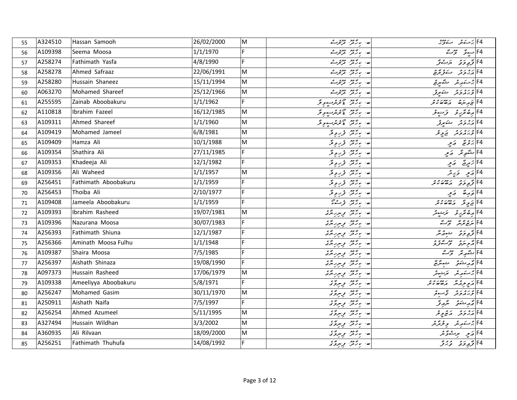| 55 | A324510 | Hassan Samooh        | 26/02/2000 | M   | ه . بار دو دور ه<br>ا                            | F4   پر سکھ سکھ دیکھیے جاتا ہے کہ ا                              |  |
|----|---------|----------------------|------------|-----|--------------------------------------------------|------------------------------------------------------------------|--|
| 56 | A109398 | Seema Moosa          | 1/1/1970   | F   | ه برگ <sup>ود</sup> دور .<br>برگ <i>و تونو</i> . | F4   پیوٹر مخ <sup>مق</sup>                                      |  |
| 57 | A258274 | Fathimath Yasfa      | 4/8/1990   | F   | ه ۱۰ برگرد ودي<br>ه برگرد ترکرگ                  | F4 كَرْجِ حَرَمَ مَرَسِّمَتَرَ                                   |  |
| 58 | A258278 | Ahmed Safraaz        | 22/06/1991 | M   | ه . با رکود وده ده<br>ه . با رکور . فرغرت        | F4 كەبرىر بىر سىكى ئىرتىرىتى                                     |  |
| 59 | A258280 | Hussain Shaneez      | 15/11/1994 | M   | ه . بار دو دو، ه<br>اه . بار در اور نگرمشو       | F4 جرستمبرشر مشميريح                                             |  |
| 60 | A063270 | Mohamed Shareef      | 25/12/1966 | M   | ه ۱۰ بر تر ورود ده<br>۱۰ بر تر تر تر تر          | F4 <i>وَبَرُهُ وَقُوَ</i> سُنَمَبِرُتُر                          |  |
| 61 | A255595 | Zainab Aboobakuru    | 1/1/1962   | F   | ھ پر برقر مي تر شر سو بر تر                      | F4 <i>تؤديدة مقصدتم</i>                                          |  |
| 62 | A110818 | Ibrahim Fazeel       | 16/12/1985 | M   | ھ پر برقر مي تر شر سو بر تر                      | F4 <sub>م</sub> ِر <i>ھ تَرْرِ وَ تَوَسِي</i> ڤر                 |  |
| 63 | A109311 | Ahmed Shareef        | 1/1/1960   | M   | ه . بارو چې ده سووځ                              | F4   رَبْر تَرَ تَرَ مَسَمَ مِرْتَر                              |  |
| 64 | A109419 | Mohamed Jameel       | 6/8/1981   | M   | ه ، بار دو نورونو                                | F4  <i>وَبَرْدُوَوْ بِيَ وِ</i> عْرِ                             |  |
| 65 | A109409 | Hamza Ali            | 10/1/1988  | M   | ه برگور و بوځ                                    | F4   پَرُوْیَ کَمَ مِجْرِ                                        |  |
| 66 | A109354 | Shathira Ali         | 27/11/1985 | F   | ھ پر پڙڇڙ عربو مر                                | F4 ڪيوتر پر <i>م</i>                                             |  |
| 67 | A109353 | Khadeeja Ali         | 12/1/1982  | F   | ھ پر برخز تورید                                  | F4   زَمِرِیَّ مَ مَرْمٍ                                         |  |
| 68 | A109356 | Ali Waheed           | 1/1/1957   | M   | ه . بدر قرار و بر در د                           | F4 أ <i>بريج وَبِي</i> قر                                        |  |
| 69 | A256451 | Fathimath Aboobakuru | 1/1/1959   | F   | ه· بورتو: تورپوتو                                | F4 كوچ محرم محمد المحمد المحمد<br>14 كوچ محمد محمد المحمد المحمد |  |
| 70 | A256453 | Thoiba Ali           | 2/10/1977  | F   | ه برزود ورود                                     | F4 ۾َ <i>مِيھَ</i> جَمَعٍ                                        |  |
| 71 | A109408 | Jameela Aboobakuru   | 1/1/1959   | F   | ھ بدر توری ور                                    | F4 جَ جِرحٌر مُصَصَّعَةٌ                                         |  |
| 72 | A109393 | Ibrahim Rasheed      | 19/07/1981 | M   | ه ۱۰ را دو.<br>ه ۱۰ را در فرمبربر «دی            | F4  مِرصْ عَرَبِ حَرْ سِمْ عَرْضِهِ مِرْ                         |  |
| 73 | A109396 | Nazurana Moosa       | 30/07/1983 | F   | ه ۱۰ را دو.<br>۱۰ را را در موسور در د            | F4   سَرَجٍ مَحْرِ سَرَ = رَحْسَهُ = رَحْسَهُ                    |  |
| 74 | A256393 | Fathimath Shiuna     | 12/1/1987  |     |                                                  | F4   تَرْجِعَ حَمَدٍ صَبِحْتِ مَرَّسَرَ                          |  |
| 75 | A256366 | Aminath Moosa Fulhu  | 1/1/1948   | F   | ه ۱۰ رود.<br>۲۰۰۰ روز و سربر در د                | F4 گەچەتتىرە ئەھمىتى ئىچەتتىرى ئىستىم                            |  |
| 76 | A109387 | Shaira Moosa         | 7/5/1985   | F   | ه . رو .<br>۱۵۰ رو . و بربر در .                 | F4 ڪُن <i>ڊيمَ وَ</i> حَتَّ                                      |  |
| 77 | A256397 | Aishath Shinaza      | 19/08/1990 | l F | ه ۱۰ مارس محر میرد کرد.<br>۱۰ مارس محر میر       | F4 أَبَرْمِرْ مِسْتَمَمَّى مِسْتَرْتَجَ                          |  |
| 78 | A097373 | Hussain Rasheed      | 17/06/1979 | M   | ھ پر بر تر پر بربر برگا                          | F4  جرستہ پڑے متر متر متر متر<br>ا                               |  |
| 79 | A109338 | Ameeliyya Aboobakuru | 5/8/1971   | F   | ھ پر بڑ تو بربرگو تھ                             | F4   مَرج مِرمْر هُمْ مَصْحَصْ مَعْ                              |  |
| 80 | A256247 | Mohamed Gasim        | 30/11/1970 | M   | ه بررود و برود                                   | F4 <i>وَبَرْ دُوَ</i> تَر گُرْسِوْرُ                             |  |
| 81 | A250911 | Aishath Naifa        | 7/5/1997   | F   | ه ، بار دو.<br>ما بار تر ، بوربرو تما            | F4   بَرُمِرِ مِسْمَعٌ = سَرُمِرِ تَرُ                           |  |
| 82 | A256254 | Ahmed Azumeel        | 5/11/1995  | M   | ه براز در و بروگ                                 | F4 رژوکر دیم پر و                                                |  |
| 83 | A327494 | Hussain Wildhan      | 3/3/2002   | M   | ه بررود و برود                                   | F4   جرستمبرشر ہو محر مگر شر                                     |  |
| 84 | A360935 | Ali Rilvaan          | 18/09/2000 | M   |                                                  | F4   رَمِج _ مِرْ شَوَرَ شَرْ                                    |  |
| 85 | A256251 | Fathimath Thuhufa    | 14/08/1992 | F   | ه ۱۰ برگ <sup>ود</sup> بومبرون                   |                                                                  |  |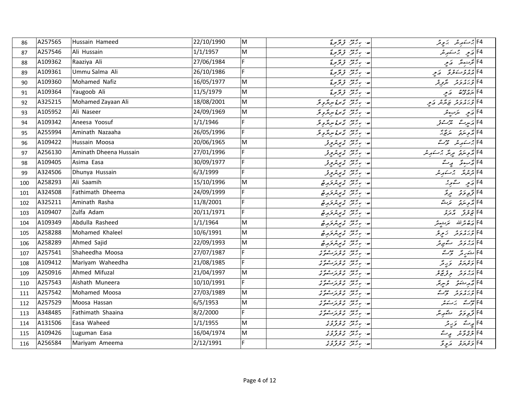| 86  | A257565 | Hussain Hameed         | 22/10/1990 | M   |                                                       | F4  جرستمبر شر برَ برِ بِرَ بِرَ بِرَ       |
|-----|---------|------------------------|------------|-----|-------------------------------------------------------|---------------------------------------------|
| 87  | A257546 | Ali Hussain            | 1/1/1957   | M   | ھ بەر بۇ دەپرە<br>ھ بەر تور ئوغرىمى                   | F4   پَرِمِي بِرْسَمَ يِرْسُ                |
| 88  | A109362 | Raaziya Ali            | 27/06/1984 | F   | ھ بەر بۇ دەپرە<br>ھ بەر تور ئوغرىمى                   | F4 تَرْسِع <i>ِ مَدَّ فِي إِ</i>            |
| 89  | A109361 | Ummu Salma Ali         | 26/10/1986 | F   | ه ۱۰ بر در و بر بر<br>ه ۱۰ بر در محرم مربع            | F4   جۇچ <i>قىرى قى</i> رىيە                |
| 90  | A109360 | Mohamed Nafiz          | 16/05/1977 | M   | ھ پر بر دي پير په په مختلف کې د د                     | F4   تربر ثر تربر شربر شربر شربر شر         |
| 91  | A109364 | Yaugoob Ali            | 11/5/1979  | M   | ھ بار دو ديد ۽<br>ھ بار در فرم جي                     | F4 پر دیږد په کړې په                        |
| 92  | A325215 | Mohamed Zayaan Ali     | 18/08/2001 | M   | ه ۱ بارود او په کاروگو کر                             | F4   قربر و قرقر قریبه ترجیبه               |
| 93  | A105952 | Ali Naseer             | 24/09/1969 | M   | ھ سرگر میں مرکز مرکز کر گر                            | F4 أ <i>بزير</i> مترسي <i>ع</i> تر          |
| 94  | A109342 | Aneesa Yoosuf          | 1/1/1946   | lF. | ھ ، بار دين محموم مرمرو پر                            | F4   پَرسِرِ سَمَّ صَرْحَة عَنْ             |
| 95  | A255994 | Aminath Nazaaha        | 26/05/1996 | F   | ھ ، بار دو ، می موځ مېره ټرو څر                       | F4 أَمَّ حِسَرَ مَنْ مَرَّجَ بِرَّ          |
| 96  | A109422 | Hussain Moosa          | 20/06/1965 | M   | ھ سرگرفر میں مرکز کر کر دی گر                         | F4  برستمبر شرح حرمتهٔ<br> -                |
| 97  | A256130 | Aminath Dheena Hussain | 27/01/1996 | F   | ھ سرگر ديگھ پر مگر پر بر                              | F4   مَّرْحِسَنَةً بِرِسَّرَ بِرَسَمَ مِسْر |
| 98  | A109405 | Asima Easa             | 30/09/1977 | F   | = سر سر محر محر محر محر محر محر                       | F4  پُر-ِ تَر پِر مُتَّ                     |
| 99  | A324506 | Dhunya Hussain         | 6/3/1999   | F   | ص <sub>ا</sub> بور محر محر بر مر بر محر               | F4   قریٹریٹر سمبر جسے ہریٹر                |
| 100 | A258293 | Ali Saamih             | 15/10/1996 | M   | ھ سرگر ديگھ پر شر <i>مز کرم</i> ھ                     | F4 جَرِمِ سَمَّحِرُ مُ                      |
| 101 | A324508 | Fathimath Dheema       | 24/09/1999 | lF. | ھ پر بر قرار می پر مگر پر منص                         | F4   تَرْجِ وَتَمَرَّ مَحْرِجَّ             |
| 102 | A325211 | Aminath Rasha          | 11/8/2001  | F   | ھ بار ديكھيں بر مركز بر ھي                            | F4   إِرَّ مِ سَرَحَةٌ = سَرَحَتَهُ         |
| 103 | A109407 | Zulfa Adam             | 20/11/1971 | F   | ھ پر بر قرار می پر مگر پر منص                         | F4 يح تحر <sup>ي</sup> - مُرْمَر حُرْ       |
| 104 | A109349 | Abdulla Rasheed        | 1/1/1964   | M   |                                                       |                                             |
| 105 | A258288 | Mohamed Khaleel        | 10/6/1991  | M   | ھ سرگر ديگر مريكر مريضي جي استعمال من                 | F4   ج: پژوَ بحر به زَمِ پر تر              |
| 106 | A258289 | Ahmed Sajid            | 22/09/1993 | M   | ھ بار ديو ۽ پرير پر رضي                               | F4   پر بر تو تر سگھ چوتر                   |
| 107 | A257541 | Shaheedha Moosa        | 27/07/1987 | F   | ه ۱۵ برگرد و ۵ د ۵ بره<br>ه ابرگران کوترنستی          | F4 ڪرپر وحيد                                |
| 108 | A109412 | Mariyam Waheedha       | 21/08/1985 | F   | ه ۱ برابرد و ۵ د ۵ د ۷<br>ه ابرابر ابرابرد و در ۵ د ۷ | F4   وَعُرِيَرُوْ       وَ پِيتَر           |
| 109 | A250916 | Ahmed Mifuzal          | 21/04/1997 | M   | ه ۱۵۶ وه وه د ۵۵۵<br>۱۵۰ پارتو کوتون دهی              | F4  رژوی وی گو                              |
| 110 | A257543 | Aishath Muneera        | 10/10/1991 | F   | ر در در ده در ۲۵ در ۲۵<br>در ۱۰ در در ۲۶ در سوی       | F4 أَبَرُمِ حَشَمَرَ = قَرَسِرْ مَرَّ       |
| 111 | A257542 | Mohamed Moosa          | 27/03/1989 | M   | ه ۱ برگرد و ۵ بر ۵ بر ۷<br>ه ۱ برگران کوترنستی ک      | F4   ج بر <sub>ثر خر</sub> ج حقب = جو سته   |
| 112 | A257529 | Moosa Hassan           | 6/5/1953   | M   | ر در در ده در ۲۵ در ۲۵<br>در ۱۰ در در ۲۶ در سوی       | F4  <i>وحتھ برسک</i> ھر                     |
| 113 | A348485 | Fathimath Shaaina      | 8/2/2000   | lF. | ه ۱ برگرد و در ۵ بر ۷<br>ه برگرد کوتر سعوی            | F4   تَرْبِرِ تَرَمَّرُ     تَشْرِيَرٌ      |
| 114 | A131506 | Easa Waheed            | 1/1/1955   | M   | ر در در ده ده ده<br>مدر بر در محرکرفر د               | F4   پرتشہ توریقر                           |
| 115 | A109426 | Luguman Easa           | 16/04/1974 | M   | ر دود وه ده ده<br>د الارتوا تحرکونون                  | F4   ج <sub>ر</sub> چوگر پ <sub>ی</sub> ے   |
| 116 | A256584 | Mariyam Ameema         | 2/12/1991  | F   | ر دود و و ده ده<br>مسر در در د گروگر                  | F4  <i>وَعْهَدَوْ بَہُج</i> وَ              |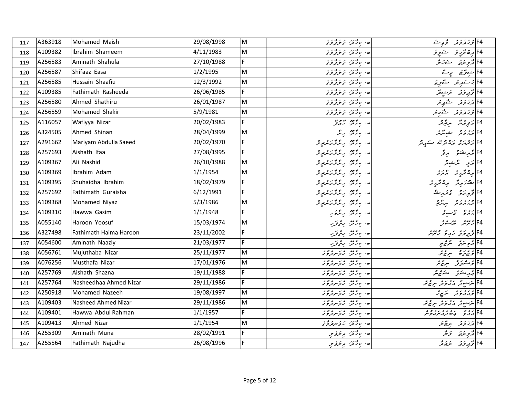| 117 | A363918 | Mohamed Maish          | 29/08/1998 | M           | / ۱۵۶ و وه ۱۵۶<br>  ۱۵۰ بارتوز کالمرکزوی                                                                                                                                                                                         | F4  <i>وْبَرْډُوَوْ وَْبِ</i> رْ شُ                        |
|-----|---------|------------------------|------------|-------------|----------------------------------------------------------------------------------------------------------------------------------------------------------------------------------------------------------------------------------|------------------------------------------------------------|
| 118 | A109382 | Ibrahim Shameem        | 4/11/1983  | M           | ه . رو و و و ه ه ه و .<br>  ه . رو تر . د توتونو د                                                                                                                                                                               | F4   پر <i>ھ تُرْرِ وَ</i> مُسَوَرِ وَ                     |
| 119 | A256583 | Aminath Shahula        | 27/10/1988 | F           | ه . روو وه وه ه<br>ه . روز تم <i>وتووی</i>                                                                                                                                                                                       | F4   پڑ جِسَرَ جَمْعَ - شَمَرْ جَمْ                        |
| 120 | A256587 | Shifaaz Easa           | 1/2/1995   | M           | ر دود وه ده ده<br>مسر د در محر <i>و وی</i>                                                                                                                                                                                       | F4 شوتریح پ <sub>ی</sub> ت                                 |
| 121 | A256585 | Hussain Shaafiu        | 12/3/1992  | M           | ه . رو و وه وه و .<br>۱۰۰ رو تر . د ترتوح د                                                                                                                                                                                      | F4 برستمبرشر مش <i>موب</i> رً                              |
| 122 | A109385 | Fathimath Rasheeda     | 26/06/1985 | F           | ر دود وه ده ده<br>مسر د در محرو کرد                                                                                                                                                                                              | F4   تَرْبِرِ تَرَمَّى = تَرَسْبِيَرَّ                     |
| 123 | A256580 | Ahmed Shathiru         | 26/01/1987 | M           | ر در در ده ده ده<br>مسر در در محرکو کرد ک                                                                                                                                                                                        | F4   رَبْر يَر تَو تَسْتَعْبِي تَرْ                        |
| 124 | A256559 | Mohamed Shakir         | 5/9/1981   | M           |                                                                                                                                                                                                                                  | F4 <i>وَبَرَ دْ وَ</i> قَر سَنَّمَ <i>بِ</i> تَرَ          |
| 125 | A116057 | Wafiyya Nizar          | 20/02/1983 | F           | <br>  ما روكتر الروكو                                                                                                                                                                                                            | F4   وَمِرِيْرِ مَّرْ سِرِيَّ تَرَ                         |
| 126 | A324505 | Ahmed Shinan           | 28/04/1999 | M           | جەسىمە ئەتتىق بىر بىر<br>                                                                                                                                                                                                        | F4   پَرْتَرَ تَوَتَّقْرَ شَعِيثَرْ شَرْ                   |
| 127 | A291662 | Mariyam Abdulla Saeed  | 20/02/1970 | $\mathsf F$ | @ <sub>``</sub> بور <i>تون به مرکز و</i> مگر <i>بی څ</i>                                                                                                                                                                         | F4   وَعُرِ مَرَدٌ وَ مَرَى مَرْكَبَ مَدَمِ وَ رَ          |
| 128 | A257693 | Aishath Ifaa           | 27/08/1995 | F           | لغ، بارى بەرگەر ئارىپاتلىرى بىر                                                                                                                                                                                                  | F4   پَرِ مِنْعَمَى مِرِ تَحْ                              |
| 129 | A109367 | Ali Nashid             | 26/10/1988 | M           | ھ بەر ئوز بەر ئەر ئەر ئاللار                                                                                                                                                                                                     | F4 صَرِحِ - سَرَحْسِوْمَر                                  |
| 130 | A109369 | Ibrahim Adam           | 1/1/1954   | M           |                                                                                                                                                                                                                                  | F4 <sub>م</sub> وھ <i>مگربر و</i> محمد محمد الحر           |
| 131 | A109395 | Shuhaidha Ibrahim      | 18/02/1979 | F           | @ <sub>``</sub> بورگ <sup>و</sup> ر به پرکرونګرې څر                                                                                                                                                                              | F4  ش <i>ەرَ <sub>بو</sub>قۇ برھ تۇر</i> ۋ                 |
| 132 | A257692 | Fathimath Guraisha     | 6/12/1991  | F           | ھ سرگود بر مرکز دیگر ہو گر                                                                                                                                                                                                       | F4   تَوْجِ وَتَمَرَّ      تَوْسَمَهِ حَسَّمَ              |
| 133 | A109368 | Mohamed Niyaz          | 5/3/1986   | M           | ھ پر بر بھر بر بر بھر بھر بھر بھر بھر بھر ان کے ان کے ان کے ان کے ان کے ان کے ان کے ان کے ان کے ان کے ان کے ان<br>مسلمان کے ان کے ان کے ان کے ان کے ان کے ان کے ان کے ان کے ان کے ان کے ان کے ان کے ان کے ان کے ان کے ان کے ان ک |                                                            |
| 134 | A109310 | Hawwa Gasim            | 1/1/1948   | F           | ھ سرگر مرکز مرکز کردیا<br> ھ سرگر مرکز مرکز کردیا                                                                                                                                                                                | F4   بَرْتُر حَمَّ سَنَّى سِنْتَرَ و                       |
| 135 | A055140 | Haroon Yoosuf          | 15/03/1974 | M           | ھ پيد برقر بره توپه                                                                                                                                                                                                              | F4   رسمبر مرسم مرسم محمد                                  |
| 136 | A327498 | Fathimath Haima Haroon | 23/11/2002 | F           | ھ ، پور قرار میں تورید                                                                                                                                                                                                           | F4   تَرْبِح وَنَّحَمَدَ رَبِّعَ رَبِّعَرْ مَرْبَعْرَ مِنْ |
| 137 | A054600 | Aminath Naazly         | 21/03/1977 | F           | ه ۱۰ بور قرار ۱۳۵ مرکز بر<br>۱۳۷ بور قرار ایران کولوگر                                                                                                                                                                           | F4   مَّرْحِسَرَةٌ مَسَّرَسِجْ مِرِ                        |
| 138 | A056761 | Mujuthaba Nizar        | 25/11/1977 | M           | ه ۱۶۰۰ ورو در دره با<br>ه ابر کرد از کرد کرد کرد                                                                                                                                                                                 | F4   و و ر صّ سریح تر                                      |
| 139 | A076256 | Musthafa Nizar         | 17/01/1976 | M           | ر دود و در دون<br>مسیر در رو سرفرون                                                                                                                                                                                              | F4   ترجيح تحريح ترجم تحريح                                |
| 140 | A257769 | Aishath Shazna         | 19/11/1988 | F           |                                                                                                                                                                                                                                  | F4   پَرۡ ہِ رَسۡتَہُمۡ ۖ سَنَۃَ تُوسُرَّ                  |
| 141 | A257764 | Nasheedhaa Ahmed Nizar | 29/11/1986 | F           | ه ۱۶۰۰ و در دره دارد.<br>ه ایرانس روسربرون                                                                                                                                                                                       | F4   مَرَسْوِمَرَ   مَرْرُ وَ قَرْ   مِرْيَحْ تَرْ         |
| 142 | A250918 | Mohamed Nazeeh         | 19/08/1997 | M           | ه . ر بر و .<br>۱۵۰ را بر و . ر و سرفر و ی                                                                                                                                                                                       | F4   ج. بر <sub>م</sub> جريحه حربي ر                       |
| 143 | A109403 | Nasheed Ahmed Nizar    | 29/11/1986 | M           | ه ۱۰ برود و روبر<br>۱۵ برگور گوش بروی                                                                                                                                                                                            | F4   سَرَسْدِ قَرْ بِرَ بِرَ تَحْرَ سِرِيَحْ تَرَ          |
| 144 | A109401 | Hawwa Abdul Rahman     | 1/1/1957   | F           |                                                                                                                                                                                                                                  | F4 <i>بزوې پره وه روپو</i> ير                              |
| 145 | A109413 | Ahmed Nizar            | 1/1/1954   | M           | ر دود و در دره<br>مسیر در گوش دور                                                                                                                                                                                                | F4   رَبْر وَ قَرْ _ سِرِيَحْ تَرْ                         |
| 146 | A255309 | Aminath Muna           | 28/02/1991 | F           |                                                                                                                                                                                                                                  | F4   اگرچ سرحی محسنگر                                      |
| 147 | A255564 | Fathimath Najudha      | 26/08/1996 | F           | ھ ، بار دی اړ تروم                                                                                                                                                                                                               | F4   تَرْبِحِ حَرَمَ = سَرَبِحِ تَرَ                       |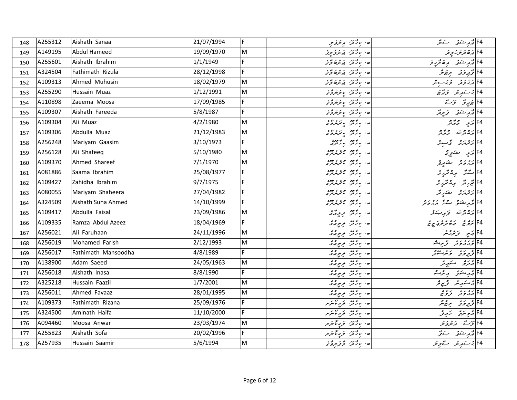| 148 | A255312 | Aishath Sanaa       | 21/07/1994 | F           | # <sub>` بو</sub> رمخر مرمرغ م                                                                     | F4   پَرۡمِرۡ شَمَعۡ ۖ سَـَمَتَر                          |
|-----|---------|---------------------|------------|-------------|----------------------------------------------------------------------------------------------------|-----------------------------------------------------------|
| 149 | A149195 | <b>Abdul Hameed</b> | 19/09/1970 | M           | ه . بار در بر بار در بار با                                                                        | F4   رَحْهُ تَرَعْرَ رَحِ تَرَ                            |
| 150 | A255601 | Aishath Ibrahim     | 1/1/1949   | F           | ر دو ده ده د                                                                                       | F4   پَروِڪُمَ وَصُمَّرِ وُ                               |
| 151 | A324504 | Fathimath Rizula    | 28/12/1998 | F           | ه برابرد در دره در در این باشد.<br>اما بر برابر این مرده و ی                                       | F4   تَحْرِجُ حَرَّمَ مَحْرَجَ تَحْرُ                     |
| 152 | A109313 | Ahmed Muhusin       | 18/02/1979 | M           | ه برگرد ده دره د                                                                                   | F4 رَبْرُوَتْر _ وَبْرَسِيشْر                             |
| 153 | A255290 | Hussain Muaz        | 1/12/1991  | M           | صن الرائع معرض من الرائع من الرائع من الرائع من الرائع من الرائع من الرائع من الرائع من الرائع ال  | F4 جر شمریٹر محر <i>م تح</i>                              |
| 154 | A110898 | Zaeema Moosa        | 17/09/1985 | F           | ه ۱۰ مرکز برنوری<br>۱۰ مرکز برنورگر                                                                | F4 نی پر ڈگر تی تھے۔<br>اس                                |
| 155 | A109307 | Aishath Fareeda     | 5/8/1987   | F           | در ۱۹۶۴ مورد در ۱۹۶۵ میلی میلادی می                                                                | F4   إِيَّ مِ حَشَيْحٍ مِ مَحْرِ مِرْحَرٍ                 |
| 156 | A109304 | Ali Muaz            | 4/2/1980   | M           | / مار دو به مره وره و دارد.<br>  مار مر د به مر مرور د                                             | F4   پَرِ بِهِ حَرَّبُو آ                                 |
| 157 | A109306 | Abdulla Muaz        | 21/12/1983 | M           | ه ۱۰ مرکز برتر دره د                                                                               |                                                           |
| 158 | A256248 | Mariyam Gaasim      | 3/10/1973  | F           | / دو د دود.<br>  د بار د بار در د                                                                  | F4   وَعُرِ مَرْ وَ سَمَحَ سِوتُر                         |
| 159 | A256128 | Ali Shafeeq         | 5/10/1980  | M           | ه . پر دو و د ه و ووه<br>ه . پر تر . پر تر تر تر ی                                                 | F4   بَرَمٍ صَمَعٍ تَرَ                                   |
| 160 | A109370 | Ahmed Shareef       | 7/1/1970   | M           | ر دود و ده دوه<br>ده ایران در تومومون                                                              | F4   پَرْرُ تَوَمَّرُ مِسْتَمَبِّرِيْثَ                   |
| 161 | A081886 | Saama Ibrahim       | 25/08/1977 | F           | ه . ر بر دو . د ه ه دوه<br>ه . ر بر د . ر موسر در ی                                                | F4 سَمَّعَ بِرصْعَرِ وُ                                   |
| 162 | A109427 | Zahidha Ibrahim     | 9/7/1975   | F           | ے ہود دے ہ دوے<br>  جو سرکو سرکر کر کر دی                                                          | F4 تج بريتر - برھ تربر ثر                                 |
| 163 | A080055 | Mariyam Shaheera    | 27/04/1982 | $\mathsf F$ | ر در در ده وده<br>  در در در موسر در د                                                             | F4   <i>وَعْرِ مَرَّوْ</i> مِسْمَرِ <i>مَرَّ</i>          |
| 164 | A324509 | Aishath Suha Ahmed  | 14/10/1999 | F           | ه ۱۰ در ور و د ۵ دود.<br>۱۵ ابو بر د ابو بو بر توری                                                | F4 أَبَرُ مِرْ شَمَرٌ مِنْ مَرْ رَوْ تَرَ                 |
| 165 | A109417 | Abdulla Faisal      | 23/09/1986 | M           | = بارتقر مرمزاری                                                                                   | F4   بَرْھْ قَرْالله       تَرْمِرْ بَ قَرْ               |
| 166 | A109335 | Ramza Abdul Azeez   | 18/04/1969 | F           | ۰۰ برگ <sup>رد</sup> بربردگا                                                                       | F4 <i>ترويح پره ووړې پ</i> ځ                              |
| 167 | A256021 | Ali Faruhaan        | 24/11/1996 | M           | صدر مرکز و مرکز مرکز می                                                                            | F4   يَرْمٍ = مَرَمَّرَكْسُرُ                             |
| 168 | A256019 | Mohamed Farish      | 2/12/1993  | M           |                                                                                                    | F4   تربر ثر تركز تركز تركز من كليم السياسة<br>من السياسة |
| 169 | A256017 | Fathimath Mansoodha | 4/8/1989   | F           | صر سر محمد الرحم و محمد من المحمد المحمد المحمد المحمد المحمد المحمد المحمد المحمد المحمد المحمد ا | F4 كَرْبِرِ حَرَمَى لَمَحَ مُرْسَعَةِ لَهِ مَنْ           |
| 170 | A138900 | Adam Saeed          | 24/05/1963 | M           | ه برنج بربردن                                                                                      | F4   پژنری مسکوپه قر                                      |
| 171 | A256018 | Aishath Inasa       | 8/8/1990   | F           | ۰۰ برگردو بر برگر                                                                                  |                                                           |
| 172 | A325218 | Hussain Faazil      | 1/7/2001   | M           | صدر مرکز در مرکز در کاری<br>  صدر مرکز در مرکز در کاری                                             | F4  ترىسىمبرىش     تۇيجى تۇ                               |
| 173 | A256011 | Ahmed Favaaz        | 28/01/1995 | M           | ه برنور بربردی                                                                                     | F4   رَبْر وَتَر مَتَحَرَّمَتَعَ                          |
| 174 | A109373 | Fathimath Rizana    | 25/09/1976 | F           | ھ <sub>ُ</sub> سِرِ رُقْرِ مُحَرِّبِ مِنْ مَعَرَ مَد                                               | F4   تَرْجِعَ حَمَدَ سِمِيَّةَ مَدَّ                      |
| 175 | A324500 | Aminath Haifa       | 11/10/2000 | F           | @   پر رُحق مَرِ پر ما مكر مر                                                                      | F4   مَّ حِ سَمَعَ = رَسِعَى                              |
| 176 | A094460 | Moosa Anwar         | 23/03/1974 | M           | # <sub>` بو</sub> ر قرح محر پولاملائيل                                                             | F4 حق مەشر <i>ە ئە</i> ر                                  |
| 177 | A255823 | Aishath Sofa        | 20/02/1996 | F           | ھ سرگر مؤر مور محمد میں ملازم                                                                      | F4 ۾َ پرڪو جَوَ آ                                         |
| 178 | A257935 | Hussain Saamir      | 5/6/1994   | M           | ه ۱۰ برود و و برود به با                                                                           | F4 جرستمبرشر المستمويتر                                   |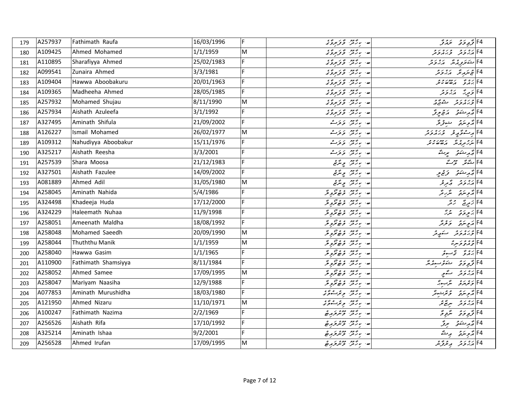| 179 | A257937 | Fathimath Raufa       | 16/03/1996 | F   | ه رود ورود                                                                     |                                                    |  |
|-----|---------|-----------------------|------------|-----|--------------------------------------------------------------------------------|----------------------------------------------------|--|
| 180 | A109425 | Ahmed Mohamed         | 1/1/1959   | M   | ر دود در در در ده با                                                           | F4   در در وره رو                                  |  |
| 181 | A110895 | Sharafiyya Ahmed      | 25/02/1983 | lF. | ه بارود و و بروی                                                               | F4   سنة يَرْمِر دُرُ مَرْبَر وَمَر                |  |
| 182 | A099541 | Zunaira Ahmed         | 3/3/1981   | F   |                                                                                | F4 تج <i>مترونگر مرکز خ</i> و                      |  |
| 183 | A109404 | Hawwa Aboobakuru      | 20/01/1963 | lF. | ه . بارو. و و باره .<br>ه . بارو . و و برو ی                                   | F4 كەرگە ھەم ئىسى                                  |  |
| 184 | A109365 | Madheeha Ahmed        | 28/05/1985 | F   |                                                                                | F4  وَمِرِبَّرٌ الْمَدْوَمَرْ                      |  |
| 185 | A257932 | Mohamed Shujau        | 8/11/1990  | M   | ه ۱۰ بر در وروسی<br>۲۰ بر تر و تر تر تر بر در د                                | F4 <i>وبزور وقر</i> مش <i>مق</i> بر                |  |
| 186 | A257934 | Aishath Azuleefa      | 3/1/1992   | lF. | ه . بار د و و د باره .<br>« . بار د . و و برو د                                | F4   پَرُمِ شَمَعٌ = بَرَجَ مِرِبَّرٌ              |  |
| 187 | A327495 | Aminath Shifula       | 21/09/2002 | F   | ھ پر پڑتی کرکڑے                                                                | F4  مَّرِصِرَة شِوْرْتَر                           |  |
| 188 | A126227 | Ismail Mohamed        | 26/02/1977 | M   | ھ پېرتور ئۆيۇپ                                                                 | F4 مِرْ شَوَّرٍ عُنْ رَوْرَ وَ رَحْمَةِ وَ الْمَرْ |  |
| 189 | A109312 | Nahudiyya Aboobakur   | 15/11/1976 | F   | ھ پر پڑتو ئر ئورگ                                                              | F4 مرکز مرد کرده در در در در در حر                 |  |
| 190 | A325217 | Aishath Reesha        | 3/3/2001   | F   | ھ بېرتىق ئەبۇب                                                                 | F4   پَرُمِ شَمَتَر      پِرمَّتَهُ                |  |
| 191 | A257539 | Shara Moosa           | 21/12/1983 | F   | ھ پر بر تو پیر پیر میں<br>م                                                    | F4   شَدَّعْر       وَ <sup>م</sup> ُتَّمَ         |  |
| 192 | A327501 | Aishath Fazulee       | 14/09/2002 | F   | ه . بدر تر .<br>مرکز . بر مرتبع                                                | F4   بَرُمٍرِ حَسَنَمَ = مَرَجْرِمِ =              |  |
| 193 | A081889 | Ahmed Adil            | 31/05/1980 | M   | ە بەر توپەر بۇ بېرىنى                                                          | F4   رَبْر يَحق = مَجْ مِرْعْر                     |  |
| 194 | A258045 | Aminath Nahida        | 5/4/1986   | lF. | ه . پارود ، ه ه ه د گر                                                         | F4 ا <i>مَّ وِ مَرَى مَّ</i> مَر <i>ْبِ</i> مََّ   |  |
| 195 | A324498 | Khadeeja Huda         | 17/12/2000 | F   | ە بەر بور دەم بۇ                                                               | F4  زَمِرِیَّ رُمَّرُ                              |  |
| 196 | A324229 | Haleemath Nuhaa       | 11/9/1998  | ΙF  | ھ بار دو دھ عرو ع                                                              | F4 بزیرِ <i>وَیْ</i> مَرْرَّ                       |  |
| 197 | A258051 | Ameenath Maldha       | 18/08/1992 | lF. | י יוני לפרט<br>כי יוני לפיקל                                                   | F4  مَرِجِسَمَة الاَعْرَاضَ                        |  |
| 198 | A258048 | Mohamed Saeedh        | 20/09/1990 | M   | ه . بار دو ، ه ه ه ه د                                                         | F4 <i>وَبَرْ دْوَ</i> تْر سَىَږِ تْر               |  |
| 199 | A258044 | <b>Thuththu Manik</b> | 1/1/1959   | M   | ه . بار در ، ه ه ه ه د گر                                                      | F4   ج و ح ج سر ته                                 |  |
| 200 | A258040 | Hawwa Gasim           | 1/1/1965   | F   | ە بەر بودە دەم بۇ                                                              | F4   بَرْ ثُرْ حٌ سَنْ وَ سُنْتُو                  |  |
| 201 | A110900 | Fathimath Shamsiyya   | 8/11/1984  | E   | ه . پارود ، ه ه ه د گر                                                         | F4 <i>قُرْمِ وَمَحْ</i> سُمَوْسِو <i>رْ مَّ</i> رْ |  |
| 202 | A258052 | Ahmed Samee           | 17/09/1995 | M   |                                                                                | F4   رَبُّهُ وَ تَرْ مِنَّة مِي                    |  |
| 203 | A258047 | Mariyam Naasiha       | 12/9/1988  | F   | صن مورد عام 2008 كليمبر و تخرج كليمبر<br>  حين مورد موسيق كليمبر و تخرج كليمبر | F4   ئ <i>ۆتەتۇ ئەتتەبە</i>                        |  |
| 204 | A077853 | Aminath Murushidha    | 18/03/1980 | lF. | ه ۱۷ در و ترت دی                                                               | F4   رَّحِ سَرَمَ = وَتَرَسْعِ مَّرَ               |  |
| 205 | A121950 | Ahmed Nizaru          | 11/10/1971 | M   | ه بدرو و ترت و در                                                              | F4   رَبَّر وَ قُرْ - سِرِيَّحْ قَرْ               |  |
| 206 | A100247 | Fathimath Nazima      | 2/2/1969   | E   | ه رود دوه دره<br>۱۵ روز وسر زره                                                |                                                    |  |
| 207 | A256526 | Aishath Rifa          | 17/10/1992 | F   | ه بر بر در وده در ه                                                            | F4   بَرُوِ حَقَّقَ = سِرَبَّرَ                    |  |
| 208 | A325214 | Aminath Ishaa         | 9/2/2001   | lF. | י על כב כבם נים                                                                | F4   مَرْحِ سَرَةً _ مِي حَدَّ                     |  |
| 209 | A256528 | Ahmed Irufan          | 17/09/1995 | M   | ه بارد دوه دره                                                                 | F4   رَبْر وَ قَرْ ہِ مِحْرَمْ مَدْ                |  |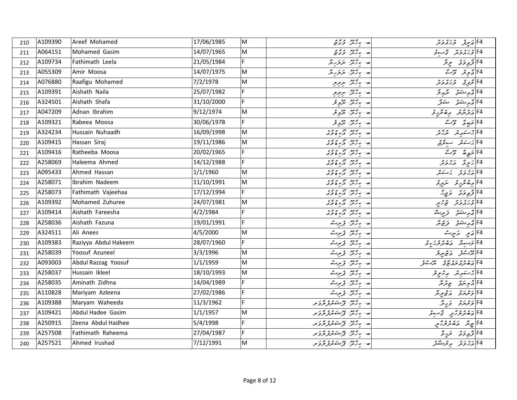| 210 | A109390 | Areef Mohamed        | 17/06/1985 | M | صدر الراحود الموارد حر<br>  صدر الراحور المحرم مع                       | F4 كەرىر تى ئەركى ئىقرىسى F4                  |
|-----|---------|----------------------|------------|---|-------------------------------------------------------------------------|-----------------------------------------------|
| 211 | A064151 | Mohamed Gasim        | 14/07/1965 | M | <br> - الإركوز والإنجا                                                  | F4 <i>وَبَرْدْوَ</i> تْرَ گَرْسِوْرُ          |
| 212 | A109734 | Fathimath Leela      | 21/05/1984 | F | ھ پر بر تور مرکز بر مگر                                                 | F4   تَرْبِرِ رَحْمٌ مَ مِرْتَرُ              |
| 213 | A055309 | Amir Moosa           | 14/07/1975 | M | ھ پر پڑویں مرکز راہگر                                                   | F4   پَرِ <sub>جر</sub> ح محرْ سَدَّ          |
| 214 | A076880 | Raafigu Mohamed      | 7/2/1978   | M | صر الإرتعاج البربربر                                                    | F4 كَرْمِرِيْنَ وَبَرَ دُوَمَرَ               |
| 215 | A109391 | Aishath Naila        | 25/07/1982 | F | @   يورمخرا البرمزمز                                                    | F4 ۾َ مِ حَسَمَى مَ مَرْمِر مَّرَ             |
| 216 | A324501 | Aishath Shafa        | 31/10/2000 | F | ه ۱ پارگ <sup>ود</sup> مر <sub>کب</sub> و کر                            | F4   بَرۡ مِرۡ ۡشَہُ ۖ وَ سَـٰوَ ۖ وَ         |
| 217 | A047209 | Adnan Ibrahim        | 9/12/1974  | M | ه . بار دو دو و                                                         | F4   رَحَرْ سَرَ سَرَ مِرْ صَحَرْ بِرِ حَرْ   |
| 218 | A109321 | Rabeea Moosa         | 30/06/1978 | F | ه . بار دو دو و<br>ه . بار در مرو نو                                    | F4   مَرچه مَ صَحَبَ مَحْ                     |
| 219 | A324234 | Hussain Nuhaadh      | 16/09/1998 | M |                                                                         | F4 جر شمویٹر میر <i>گ</i> ور                  |
| 220 | A109415 | Hassan Siraj         | 19/11/1986 | M | ه . بارو هم ولاي<br>ه . بارو اړيدون                                     | F4  بَرْسَة مْشْرِ مِسْتَخْرَ فِيجْ           |
| 221 | A109416 | Ratheeba Moosa       | 20/02/1965 | F |                                                                         | F4 <i>أَمَهِي صَدَّر حَ</i>                   |
| 222 | A258069 | Haleema Ahmed        | 14/12/1988 | F | ه . برگرد ص و بر ،<br>ه . برگر . هر باغ و ی                             | F4 بَرْمٍرِ مَدَّ مَدَّرَ مِرْ                |
| 223 | A095433 | Ahmed Hassan         | 1/1/1960   | M | ه . برگرد ص و بر ،<br>ه . برگر . هر باغ و ی                             | F4   رَبْر يَوتَر _ بَرَ سَهُ شَر             |
| 224 | A258071 | Ibrahim Nadeem       | 11/10/1991 | M |                                                                         | F4   مِرْضُ عَزِيرِ حَرَ سَرَمِرِ رَحْ        |
| 225 | A258073 | Fathimath Vajeehaa   | 17/12/1994 | F | ים מיכל המיש בימי                                                       | F4   تَرْبِرِ <i>حَرَّمَ</i> = حَرَبِيَّةً.   |
| 226 | A109392 | Mohamed Zuhuree      | 24/07/1981 | M |                                                                         | F4   ت <i>ح. بر د د تح تر پر</i>              |
| 227 | A109414 | Aishath Fareesha     | 4/2/1984   | F | ه برتو وروده                                                            | F4   پَرۡمِ شَمَعۡ ۖ ۖ مَرۡبِرِ شَہٗ ۖ        |
| 228 | A258036 | Aishath Fazuna       | 19/01/1991 | F | ھ پر پر توپر شہر گ                                                      | F4   پَرۡمِرۡ مِنۡ <i>مَوۡ جَ</i> مَرَّ       |
| 229 | A324511 | Ali Anees            | 4/5/2000   | M | ھ ، پارچو نوپرٽ                                                         | F4  پَرِ مِبِ کَسِرِتْ                        |
| 230 | A109383 | Raziyya Abdul Hakeem | 28/07/1960 | F | ھ پر بر قرار مجر مورث                                                   | F4  يَرْسُومَّرُ   بَرْهُ قَرْعُرْبَرْ بِرْءُ |
| 231 | A258039 | Yoosuf Azuneel       | 3/3/1996   | M | ھ ، پارچو ، بچ برت                                                      | F4   پرستونس پر ٹی میریٹر                     |
| 232 | A093003 | Abdul Razzag Yoosuf  | 1/1/1959   | M | ھ• پارچوبہ مجر <i>مورث</i>                                              | F4 ره وه بره څ چه د مرحومي په                 |
| 233 | A258037 | Hussain Ikleel       | 18/10/1993 | M | ھ پر بر قرار مجر مورث                                                   | F4 جرستمبرشر ال <sub>مر</sub> تز <i>ج</i> وعر |
| 234 | A258035 | Aminath Zidhna       | 14/04/1989 | F | ھ• پارچوبہ مجر <i>مورث</i>                                              |                                               |
| 235 | A110828 | Mariyam Azleena      | 27/02/1986 | F | ھ <sub>ا</sub> پور قراط مجر مورث                                        | F4   وَعُرْمَرُوْ   دَعْ مِرْمَّرْ            |
| 236 | A109388 | Maryam Waheeda       | 11/3/1962  | F | ھ پر بر دو ہے شکھر محرو مر                                              | F4  <i>وَعْرِ بِرَوْ وَبِ</i> بِرَّ           |
| 237 | A109421 | Abdul Hadee Gasim    | 1/1/1957   | M |                                                                         | F4 رەم دورىپر گەسو <u>ۇ</u>                   |
| 238 | A250915 | Zeena Abdul Hadhee   | 5/4/1998   | F | ھ پر برقر ہوتے کے بروگرونو                                              |                                               |
| 239 | A257508 | Fathimath Raheema    | 27/04/1987 | F | ل به برگ <sup>و</sup> د به شده د در بر<br>به برگور مجر به شورگر گرونس   | F4   تَرْبِرِ حَرَمَ = سَرَرٍ حَرَ            |
| 240 | A257521 | Ahmed Irushad        | 7/12/1991  | M | ل به برگ <sup>و</sup> د به شهر در در بر<br>به برگور مجر به شهر در گرونس | F4   رَبْر وَ قَرْ _ مِرْتَوْتَ قَرْ          |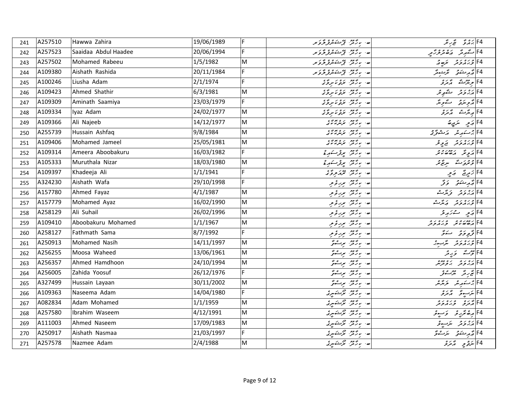| 241 | A257510 | Hawwa Zahira         | 19/06/1989 | ΙF | ە . بەر قۇسكەش <i>ۋە ئەر</i>                                                                              | F4 بَرَوْحٌ گَمَ بِرَحَّر                                |
|-----|---------|----------------------|------------|----|-----------------------------------------------------------------------------------------------------------|----------------------------------------------------------|
| 242 | A257523 | Saaidaa Abdul Haadee | 20/06/1994 | F  | ھ سرگرد سے مشترکر کرو کر ا                                                                                | F4   سەر قرىر قىز قرىر قرىر<br>  F4   سەر قرىر قرىر قرىر |
| 243 | A257502 | Mohamed Rabeeu       | 1/5/1982   | M  | ص <sub>ن</sub> برگ <sup>و</sup> و به شده شرقر قرونس                                                       | F4 وره رو بره چ                                          |
| 244 | A109380 | Aishath Rashida      | 20/11/1984 | F  | ص <sub>ن</sub> برگ <sup>و</sup> د است مشرکو کرد کرد کرد.<br>  جان برگورانستخور کو کرد کرد کرد کرد کرد کرد | گرشەنگر<br>F4   ڳرمر شمقي                                |
| 245 | A100246 | Liusha Adam          | 2/1/1974   | F  | ص <sub>ا</sub> سور سور سر سور سور سور سی سی<br>  صا اسم سر سور سور سور سر سی                              |                                                          |
| 246 | A109423 | Ahmed Shathir        | 6/3/1981   | M  | ه ۱۰ برگر نمود برگر                                                                                       | F4   رَبْر ترَ تَحْرِ مَرْ سَمَّةٍ تَحْر                 |
| 247 | A109309 | Aminath Saamiya      | 23/03/1979 | F  | ه ۱۵ برود ۱۵ بر دره با<br>ه ۱ برگور محرمی موبرو می                                                        | F4   پڑ <i>و ہنرو مستحو</i> پڑ                           |
| 248 | A109334 | Iyaz Adam            | 24/02/1977 | M  | ه ۱ بارود اره د برگور<br>ه ابراروز مرکوبامبرگرامی                                                         | F4 ۾ِ پَرَٽَ گَرُمَرُ <i>وُ</i>                          |
| 249 | A109366 | Ali Najeeb           | 14/12/1977 | M  | ە- بەر <i>جەد بەيدە يا</i>                                                                                | F4 أ <i>بزير متربي</i> ء                                 |
| 250 | A255739 | Hussain Ashfaq       | 9/8/1984   | M  |                                                                                                           | F4   بر سَموِیْر - مَرْشُوَیْتَی                         |
| 251 | A109406 | Mohamed Jameel       | 25/05/1981 | M  | ه بر رو بره برد بر<br>۱۵۰ بر رو بر بر بر بر                                                               | F4   ت <i>ح. ژوڅو پي پي</i> څر                           |
| 252 | A109314 | Ameera Aboobakuru    | 16/03/1982 | F  | ھ پر پڑ پور پر کو گھر گھ                                                                                  | F4 كەچەتكە كەھەھەتمىر                                    |
| 253 | A105333 | Muruthala Nizar      | 18/03/1980 | M  | ھ پر پر قران پر پر گور گھر گھ<br>ج                                                                        | F4   ترتمرتركتش سريح تحر                                 |
| 254 | A109397 | Khadeeja Ali         | 1/1/1941   | F  | ه . پارتو به برخ و .<br>۱۰ بارتو محمد مرکز و                                                              | F4   زَمِرِيَّ = بَرَمٍ                                  |
| 255 | A324230 | Aishath Wafa         | 29/10/1998 | F  | = الإرتقر المربر وعر                                                                                      | F4   پَرِ مِرْ شَمَحٌ = تَوَتَّى                         |
| 256 | A157780 | Ahmed Fayaz          | 4/1/1987   | M  | @   يورجو بحرير قوم مر                                                                                    | F4   پر بر تر تر تر تر تر د                              |
| 257 | A157779 | Mohamed Ayaz         | 16/02/1990 | M  | ھ پر برقر بررؤبر                                                                                          | F4 <i>وَبَرَ دُوَ وَبَر مَرَّ</i> دَتْ ا                 |
| 258 | A258129 | Ali Suhail           | 26/02/1996 | M  | @   يوركترا البربر قرمز                                                                                   | F4   پَرِ مِ مَتَرَمِّرَ                                 |
| 259 | A109410 | Aboobakuru Mohamed   | 1/1/1967   | M  | #ر بدر محقر معربه ظرم                                                                                     | F4 رودرو و دره رو                                        |
| 260 | A258127 | Fathmath Sama        | 8/7/1992   | F  | = الإرتقر الربر فرمز                                                                                      | F4   تَرْجِ وَحَمَدَ سَتَمَرَّ                           |
| 261 | A250913 | Mohamed Nasih        | 14/11/1997 | M  | ص <sub>ا</sub> بور محق بور ش <i>مو</i> گر                                                                 | F4 <i>وَبَرْ دْ وَ</i> قَرْ سَرْبِ بْرُ                  |
| 262 | A256255 | Moosa Waheed         | 13/06/1961 | M  | ص <sub>ا</sub> الإلاقة المحرب عالمي                                                                       | F4   ج <sup>و</sup> شہ ق <sub>ریبو</sub> تر              |
| 263 | A256357 | Ahmed Hamdhoon       | 24/10/1994 | M  | <sub>ھ</sub> ، پارچو، سرڪھڻ                                                                               | F4   پروتو برومومر                                       |
| 264 | A256005 | Zahida Yoosuf        | 26/12/1976 | F  | ھ سرگر قرار مورے محر                                                                                      | F4 ڪچ <sub>سر</sub> ڪر هر هڪ هو.                         |
| 265 | A327499 | Hussain Layaan       | 30/11/2002 | M  | صدر الرحم حقيق المحرم المحدد المحرمي                                                                      | F4  ترسَمَ پِر مَر مَرَ مَرْمَر                          |
| 266 | A109363 | Naseema Adam         | 14/04/1980 | F  | ھ. بدر قرق مرت میں تھ                                                                                     | F4  <sub>مترسی</sub> و <sub>مح</sub> ترو                 |
| 267 | A082834 | Adam Mohamed         | 1/1/1959   | M  |                                                                                                           | F4   جەرى ئەرگە ئەرگە جەرى                               |
| 268 | A257580 | Ibrahim Waseem       | 4/12/1991  | M  | ص <sub>ن</sub> الراحة المحرك مشكوري                                                                       | F4   ير <i>ھ تزر ۋ</i> ے سپوتى                           |
| 269 | A111003 | Ahmed Naseem         | 17/09/1983 | M  | ھ سر مر قرار میں مشخص میں میں<br>                                                                         | F4   رَبْر <sub>حَرَ</sub> حْرَ مَدَ سِرْحَةَ            |
| 270 | A250917 | Aishath Nasmaa       | 21/03/1997 | F  | ه برگرفتر مرت برگیری                                                                                      | F4 ۾ پرڪتوبر سرڪو گر                                     |
| 271 | A257578 | Nazmee Adam          | 2/4/1988   | M  | ھ ، بار وو چرڪسري                                                                                         | F4 مَرَجْرِ بِهِ مَرْمَرْحْر                             |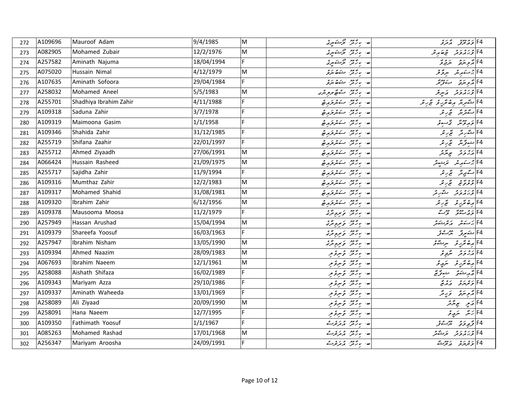| 272 | A109696 | Mauroof Adam           | 9/4/1985   | M |                                                                                                                                                                                                                     | F4   و ووه<br>F4   و هرمزنی   ارمزی                   |
|-----|---------|------------------------|------------|---|---------------------------------------------------------------------------------------------------------------------------------------------------------------------------------------------------------------------|-------------------------------------------------------|
| 273 | A082905 | Mohamed Zubair         | 12/2/1976  | M | ص <sub>ا</sub> الراحة الترك مكرسكوري                                                                                                                                                                                | F4 <i>وَبَرْ دْوَ</i> تْر تَجْ صَ <sub>م</sub> ْ تْرَ |
| 274 | A257582 | Aminath Najuma         | 18/04/1994 | F | ص <sub>ا</sub> الراحق الكرمشكوري                                                                                                                                                                                    | F4   اگرچ سرچ مرکبح تر                                |
| 275 | A075020 | Hussain Nimal          | 4/12/1979  | M | صن سر مرد مشخص مرض                                                                                                                                                                                                  | F4 ترسَمبرسمُ سِروَّتْر                               |
| 276 | A107635 | Aminath Sofoora        | 29/04/1984 | F | صن سر مر در دره<br>  صن سر مر تر مشخص معرض                                                                                                                                                                          | F4   پڑے سرّحریمر<br>  F4   پڑے سرّحریمر              |
| 277 | A258032 | Mohamed Aneel          | 5/5/1983   | M | ه برگرد شمهگر مرمر شری                                                                                                                                                                                              | F4  <i>وبزوونو پَسِرِیْ</i>                           |
| 278 | A255701 | Shadhiya Ibrahim Zahir | 4/11/1988  | F | ھ ، بار تر ديكھ مركز <sub>ا</sub> ر ھي                                                                                                                                                                              | F4 شَّعْرِهُ رِصْتَرِرِ وُ تَجْرِبْر                  |
| 279 | A109318 | Saduna Zahir           | 3/7/1978   | F | ھ ، بار تر ديكھ مركز <sub>ا</sub> ر ھي                                                                                                                                                                              | F4   سَمَعْرَمْتُر       جَي سِمْر                    |
| 280 | A109319 | Maimoona Gasim         | 1/1/1958   | F | ھ بارو ڪشر <i>و آدھ</i>                                                                                                                                                                                             | F4  <i>ۇروقىتى</i> تۇس <i>ەۋ</i>                      |
| 281 | A109346 | Shahida Zahir          | 31/12/1985 | F | ھ ، بار تر ديكھ مركز <sub>ا</sub> ر ھي                                                                                                                                                                              | F4 حَصَّرِ مَرَّ مَحَ رِحْر                           |
| 282 | A255719 | Shifana Zaahir         | 22/01/1997 | F | ھ ، بار تر ديكھ مركز <sub>ا</sub> ر ھي                                                                                                                                                                              | F4 حوتر مگر مگر جنگ                                   |
| 283 | A255712 | Ahmed Ziyaadh          | 27/06/1991 | M | ھ پر تر تر کے شرعر پر ھی                                                                                                                                                                                            | F4   رَ <sup>م</sup> ْ رَحَمَّر سِمِ رَحَمَّرَ        |
| 284 | A066424 | Hussain Rasheed        | 21/09/1975 | M | ھ پر تر تر کے شرع کر کھیے                                                                                                                                                                                           | F4 جرسے پر شر سَرَ سَمِعْتَر                          |
| 285 | A255717 | Sajidha Zahir          | 11/9/1994  | F | ھ پر تر تر کے شرعر مرضی                                                                                                                                                                                             | F4   سے <sub>صح</sub> ر سے پر تمر                     |
| 286 | A109316 | Mumthaz Zahir          | 12/2/1983  | M | ھ برگر سکھر کرو گھ                                                                                                                                                                                                  | F4   جو جو جو سمج پر جمر                              |
| 287 | A109317 | Mohamed Shahid         | 31/08/1981 | M | ھ پر پر دي ڪشر مركز <sub>مرض</sub>                                                                                                                                                                                  | F4 <i>وَبَرْدُوَ</i> تَرَ ۖ مُشَرِّتْر                |
| 288 | A109320 | Ibrahim Zahir          | 6/12/1956  | M | صن سر مر مشر مر مرضع الصنع العرض الصنع العرب العرض العرب العرب العرب العرب العرب العرب العرب العرب<br>العرب العرب العرب العرب العرب العرب العرب العرب العرب العرب العرب العرب العرب العرب العرب العرب العرب العرب ا | F4   مِرْضُ عَرَبِ حَرَّ مِجْ رِحْر                   |
| 289 | A109378 | Mausooma Moosa         | 11/2/1979  | F | ص <sub>ن</sub> بور قر به تحریر و قری                                                                                                                                                                                | F4   تەرجىق ئۇ ئەسىگە                                 |
| 290 | A257949 | Hassan Arushad         | 15/04/1994 | M | ه برگرفتر و مرو فری                                                                                                                                                                                                 | F4   بَرْسَةَ شَرْ مَرْ بَرْتَرْسْتَهُ قَرْ           |
| 291 | A109379 | Shareefa Yoosuf        | 16/03/1963 | F | ص <sub>ن</sub> بور تحریر کرد تحری                                                                                                                                                                                   | F4   شەمرىرى قىزىستەنى                                |
| 292 | A257947 | Ibrahim Nisham         | 13/05/1990 | M | ص <sub>ن</sub> بور قرح محر بور قرى                                                                                                                                                                                  | F4   ير <i>ھ تُرب ڈ</i> سِرڪُو                        |
| 293 | A109394 | Ahmed Naazim           | 28/09/1983 | M | = ، بار دو می مرغ م                                                                                                                                                                                                 | F4   <i>مەبر خەش سگىن</i> چە تىر                      |
| 294 | A067693 | Ibrahim Naeem          | 12/1/1961  | M | = عركت مي مركز من                                                                                                                                                                                                   | F4 <sub>م</sub> ِر <i>ھ تَرْرِ وَ ۔ سَرَو</i> ِ وَ    |
| 295 | A258088 | Aishath Shifaza        | 16/02/1989 | F | = عارض مي مركز مر                                                                                                                                                                                                   | F4   پَرۡمِ شَہُ وَ سَے <i>وَ حَی</i> ۡمَ             |
| 296 | A109343 | Mariyam Azza           | 29/10/1986 | F | = ، بار دو می مرغ م                                                                                                                                                                                                 | F4   وَعْرِ مَرَ صَرَ مَرَ مَرَ مَنْ                  |
| 297 | A109337 | Aminath Waheeda        | 13/01/1969 | F | # <sub>` بو</sub> رمحز می مرغ م                                                                                                                                                                                     | F4   أَمَّ حِ سَرَى مَدِيَّة مَّ                      |
| 298 | A258089 | Ali Ziyaad             | 20/09/1990 | M | ه . بار دو . و بار و بر                                                                                                                                                                                             | F4   پَرمٍ سِمِ پَرْ تَمَرَّ                          |
| 299 | A258091 | Hana Naeem             | 12/7/1995  | F | ه پرتو و برؤبر                                                                                                                                                                                                      | F4 رَسَّرَ سَر <i>َ<sub>بِ</sub>دِوْ</i>              |
| 300 | A109350 | Fathimath Yoosuf       | 1/1/1967   | F | ه ۱ بارو وری د                                                                                                                                                                                                      | F4 كَرْجِ حَرَمَ مِنْ مَرْسَمْ مِنْ                   |
| 301 | A085263 | Mohamed Rashad         | 17/01/1968 | M | ه . بارتو . د بر تر .<br>« . بارتو . د <del>ب</del> ر تر ب                                                                                                                                                          | F4 <i>وَبَرُدْوَ</i> تَرَ کَرَشَّمَتَرَ               |
| 302 | A256347 | Mariyam Aroosha        | 24/09/1991 | F | ه ۱۰ برود وري ه<br>پارو د ترترم                                                                                                                                                                                     | F4   تر <i>تر بر تر شرقت</i> هٔ                       |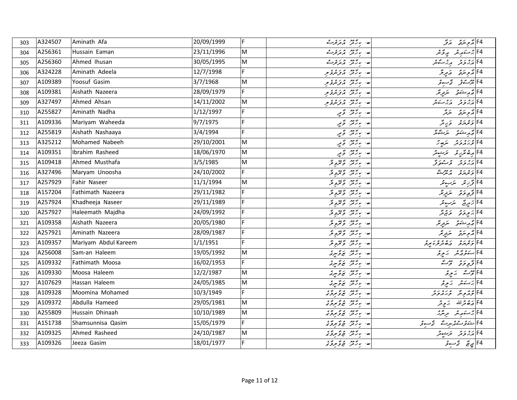| 303 | A324507 | Aminath Afa          | 20/09/1999 | F            | ه ۱۰ برتر وری<br>ه برتر مورترگ                                      | F4   مَرْحِسَرَة _ مَرَكَّرَ                                                                         |
|-----|---------|----------------------|------------|--------------|---------------------------------------------------------------------|------------------------------------------------------------------------------------------------------|
| 304 | A256361 | Hussain Eaman        | 23/11/1996 | M            | ه ۱۶ مرد وروگ                                                       | F4  جرستمبرشر پرځشر                                                                                  |
| 305 | A256360 | Ahmed Ihusan         | 30/05/1995 | M            | ه ۱۰ بارو وری<br>ه بارو پروترک                                      | F4 رَبْرُ وَتَحْرَ       بِرْرُ سَمَّسْر                                                             |
| 306 | A324228 | Aminath Adeela       | 12/7/1998  | $\mathsf F$  | ه . بار دو . در ۵ و م                                               | F4   مَّرْحِسَنَّةً لَهَ مِرْحَمَّ                                                                   |
| 307 | A109389 | Yoosuf Gasim         | 3/7/1968   | M            | ر دو وره د و د و د و د و د کلیک است.<br>مدار برابر د از مرکز کرد کر | F4   ترجستمرگ سنگی سبز                                                                               |
| 308 | A109381 | Aishath Nazeera      | 28/09/1979 | F            | ه· پارتو· دیره و پر                                                 | F4   بَرُمٍ حسَنَم مِنْ سَرَخِرِيمٌ                                                                  |
| 309 | A327497 | Ahmed Ahsan          | 14/11/2002 | M            | ر دو وره د و د و د و د و د کلیک است.<br>مدار برابر د از مرکز کرد کر | F4   پرېږ ته پر مه ټه ته                                                                             |
| 310 | A255827 | Aminath Nadha        | 1/12/1997  | F            | ه ۱۰ برگ <sup>وو ن</sup> گور<br>۱۰ برگور گور                        | F4   أَمْرِ جِسَرَةٌ مَسَرَّمَرٌ                                                                     |
| 311 | A109336 | Mariyam Waheeda      | 9/7/1975   | F            | ه ۱۰ رود و<br>۱۵ برترو وګړ                                          | F4   <i>وَعْرِ مَرَوْ _ وَبِ</i> مِّرَ                                                               |
| 312 | A255819 | Aishath Nashaaya     | 3/4/1994   | F            | ه ۱۰ برگ <sup>وو پ</sup> ر<br>۱۵ برگتر گرمی                         | F4   پَرۡمِ شَہُمۡ مَرۡ سَنَّہُ مَرَّ                                                                |
| 313 | A325212 | Mohamed Nabeeh       | 29/10/2001 | M            | ه ۱۰ برگ <sup>ود</sup> گرمبر<br>۱۰ برگرفر گرمبر                     | F4   قربر ثر قرق مرسر سرّب من 1                                                                      |
| 314 | A109351 | Ibrahim Rasheed      | 18/06/1970 | M            | ه . رو دو.<br>ه . رو رقو . هو پر                                    | F4   مِرْضُ عَزَيْرِ فَرَ سَمَرْتَ مِرْدِ                                                            |
| 315 | A109418 | Ahmed Musthafa       | 3/5/1985   | M            | ه . بارتو به به به بحر<br>ه . بارتو . و ترو تر                      | F4   در در محب محمد محمد محمد الس                                                                    |
| 316 | A327496 | Maryam Unoosha       | 24/10/2002 | $\mathsf{F}$ | ھ پر بڑ پور مہینے پی                                                | F4   كَرْعْرِ بِرَوْ لِمَرْسِرْ سَنَّةَ الْمَسْرَحَةِ مِنْ لَهِ مِنْ لَهِ مِنْ لِمَنْ لِمَنْ مِنْ مِ |
| 317 | A257929 | Fahir Naseer         | 11/1/1994  | M            | ھ پر بر دي دي.<br>ھ پر بر دي تو تو تو                               | F4  تَحْرَرِ مَرْ سَرَسِيْتَرَ                                                                       |
| 318 | A157204 | Fathimath Nazeera    | 29/11/1982 | $\mathsf F$  | ه . بارتو به به به بحر<br>ه . بارتو . و ترو تر                      | F4   تَحْرِجِ وَتَحْمَدَ سَرَفِرِيَّرَ                                                               |
| 319 | A257924 | Khadheeja Naseer     | 29/11/1989 | $\mathsf F$  | ه . بارتو به به به بحر<br>ه . بارتو . و ترو تر                      | F4 زَمِرِيَّ مَرَسِيْتَر                                                                             |
| 320 | A257927 | Haleemath Majdha     | 24/09/1992 | $\mathsf F$  | ه . بارتو به به به بحر<br>ه . بارتو . و ترو تر                      | F4 بزم <i>چ وَتَّ</i> مَّ وَتَحْمَّرُ                                                                |
| 321 | A109358 | Aishath Nazeera      | 20/05/1980 | $\mathsf F$  | ە بەر بۇ يەر ئەسىر بۇ                                               | F4   <i>بَرِّ بِرِحْمَّةٍ - سَرْفِرِسُ</i> ّ                                                         |
| 322 | A257921 | Aminath Nazeera      | 28/09/1987 | F            | ه ، پارتو په په په                                                  | F4   مَّرْحِ مَرَمَّى = مَرَضٍ مَّرَ                                                                 |
| 323 | A109357 | Mariyam Abdul Kareem | 1/1/1951   | $\mathsf F$  | ھ پر بڑ پور کانکھ پر بھر                                            | F4 كۆچرى ھەم ئەھەم بار ئىلىن ئىلىن ئىلىن ئىلىن ئىلىن ئىلىن ئىلىن ئىلىن ئىلىن ئىلىن ئىل               |
| 324 | A256008 | Sam-an Haleem        | 19/05/1992 | M            | ھ پر بر ديگھري<br>ھ پر بر دي سي                                     | F4 سەۋەچش ب <sub>ە م</sub> ور                                                                        |
| 325 | A109332 | Fathimath Moosa      | 16/02/1953 | F            | ه ۱ پر تر در ۱۶ مرگز<br>ه ۱ پر تر در سخ تر بیری                     | F4   تَرْجِ وَتَرَ = وَتَرَ ـَتَمَّ                                                                  |
| 326 | A109330 | Moosa Haleem         | 12/2/1987  | M            | ھ برگرد کر محمد کردیا<br>محمد برگرد محمد کردی                       |                                                                                                      |
| 327 | A107629 | Hassan Haleem        | 24/05/1985 | M            | ه . بدر محر . بدر .<br> ه . بدر محر . برخ میرند                     | F4 ;زستەش ب <sub>ر تم</sub> و <sub>خ</sub> ۇ                                                         |
| 328 | A109328 | Moomina Mohamed      | 10/3/1949  | F            | ه برترو و ديره                                                      | F4   ج <i>و جرحتر با جراء ج</i> ر                                                                    |
| 329 | A109372 | Abdulla Hameed       | 29/05/1981 | M            | ه . را دو و دارد .<br>ه . را رو . مح و مرو ی                        | F4   بَرْهُ قُرْالله     بَرْ جِرْقَر                                                                |
| 330 | A255809 | Hussain Dhinaah      | 10/10/1989 | M            | ه برترو و ديره                                                      | F4 جرستمریشر مریٹرجر                                                                                 |
| 331 | A151738 | Shamsunnisa Qasim    | 15/05/1979 | $\mathsf{F}$ | ه . رو و و .<br>ه . رو تر مح تو مرو ی                               | F4 ىشەۋىسەگەسرىسى گەسىرۇ                                                                             |
| 332 | A109325 | Ahmed Rasheed        | 24/10/1987 | M            | ه . بار دو .<br>۱۳ . بار در سی تو بار دی                            | F4   رَرْ رَ تَرْ سَرَ سَرْ مِرْ مِرْ                                                                |
| 333 | A109326 | Jeeza Gasim          | 18/01/1977 | $\mathsf F$  | ر دود و در دره د                                                    | F4   يٍي گَ سَرِوُ                                                                                   |